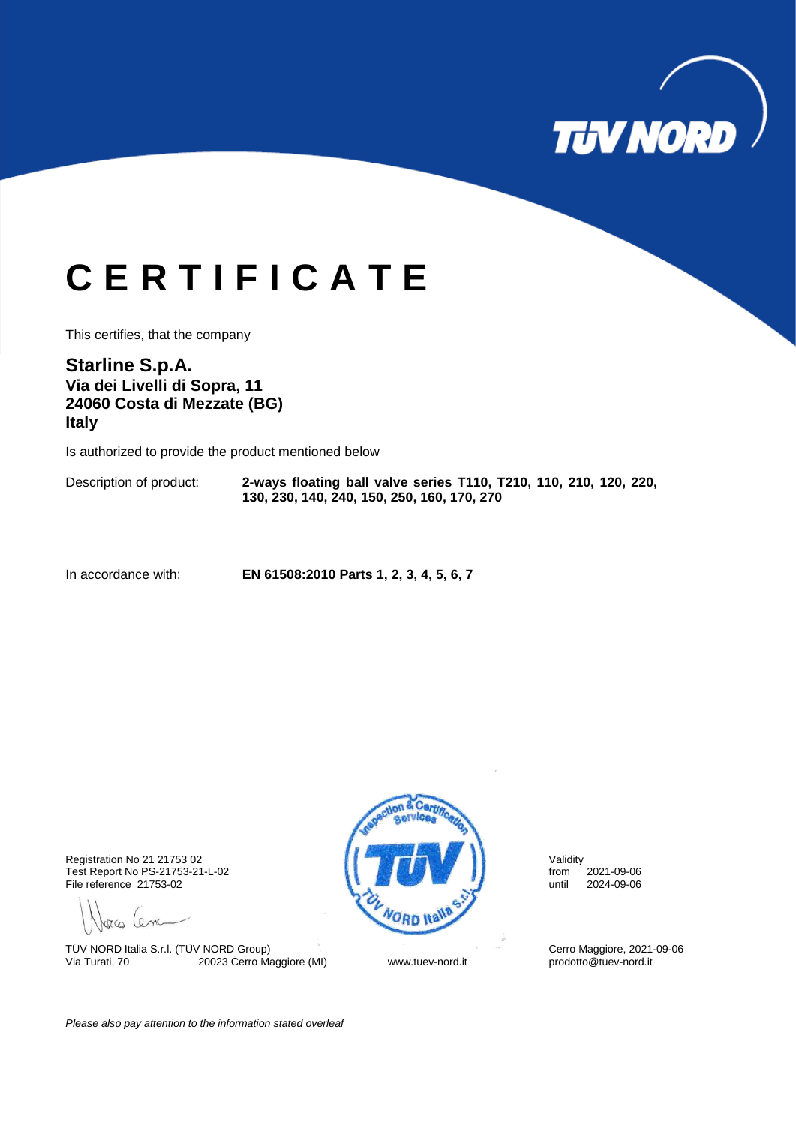

## **C E R T I F I C A T E**

This certifies, that the company

**Starline S.p.A. Via dei Livelli di Sopra, 11 24060 Costa di Mezzate (BG) Italy**

Is authorized to provide the product mentioned below

Description of product: **2-ways floating ball valve series T110, T210, 110, 210, 120, 220, 130, 230, 140, 240, 150, 250, 160, 170, 270**

In accordance with: **EN 61508:2010 Parts 1, 2, 3, 4, 5, 6, 7**

File reference 21753-02

orco lena

TÜV NORD Italia S.r.l. (TÜV NORD Group)<br>
Via Turati, 70 20023 Cerro Maggiore (MI) Www.tuev-nord.it prodotto@tuev-nord.it Via Turati, 70 20023 Cerro Maggiore (MI) www.tuev-nord.it



*Please also pay attention to the information stated overleaf*